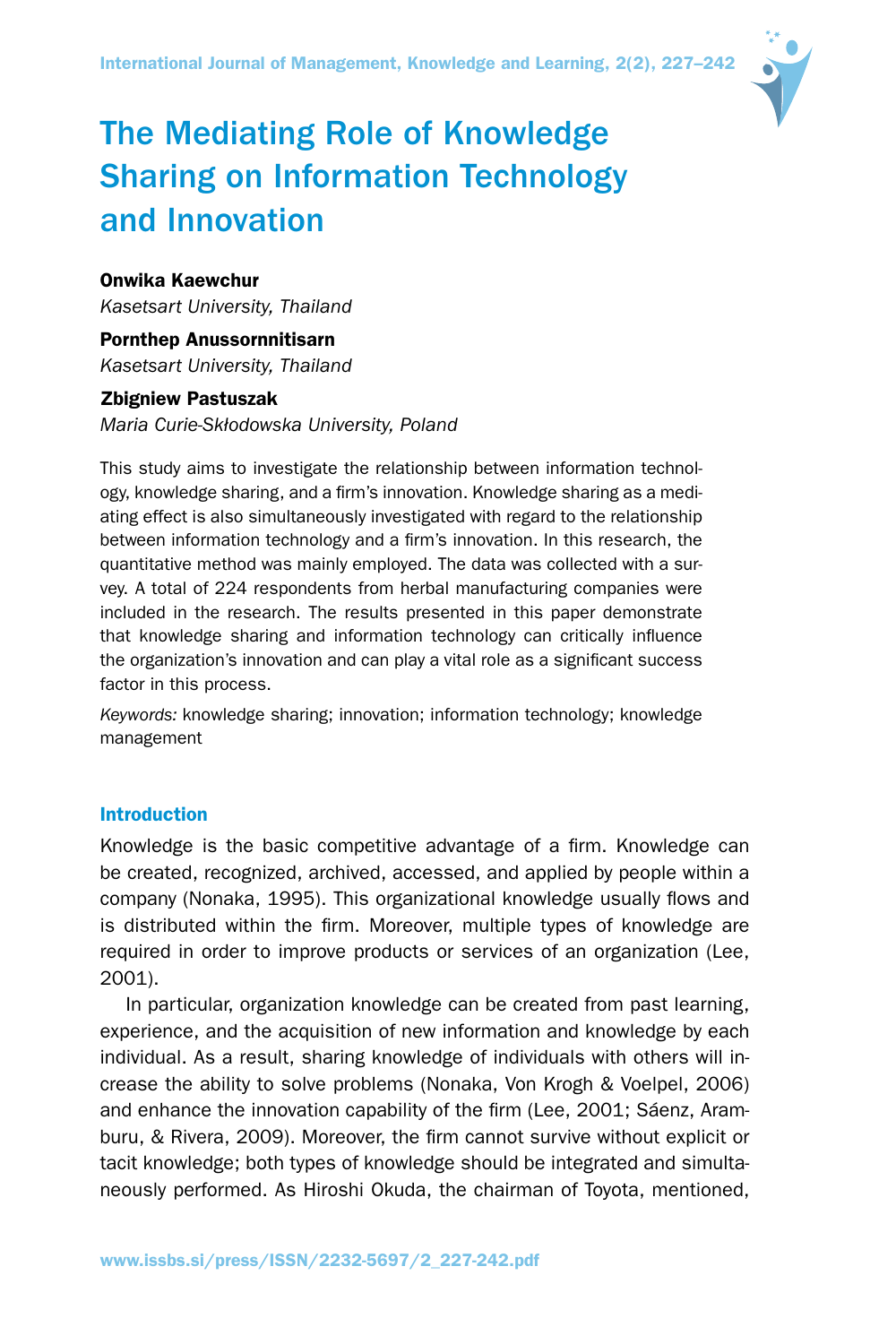International Journal of Management, Knowledge and Learning, 2(2), 227–242



# The Mediating Role of Knowledge Sharing on Information Technology and Innovation

# Onwika Kaewchur

*Kasetsart University, Thailand*

Pornthep Anussornnitisarn *Kasetsart University, Thailand*

# Zbigniew Pastuszak

*Maria Curie-Skłodowska University, Poland*

This study aims to investigate the relationship between information technology, knowledge sharing, and a firm's innovation. Knowledge sharing as a mediating effect is also simultaneously investigated with regard to the relationship between information technology and a firm's innovation. In this research, the quantitative method was mainly employed. The data was collected with a survey. A total of 224 respondents from herbal manufacturing companies were included in the research. The results presented in this paper demonstrate that knowledge sharing and information technology can critically influence the organization's innovation and can play a vital role as a significant success factor in this process.

*Keywords:* knowledge sharing; innovation; information technology; knowledge management

# Introduction

Knowledge is the basic competitive advantage of a firm. Knowledge can be created, recognized, archived, accessed, and applied by people within a company (Nonaka, 1995). This organizational knowledge usually flows and is distributed within the firm. Moreover, multiple types of knowledge are required in order to improve products or services of an organization (Lee, 2001).

In particular, organization knowledge can be created from past learning, experience, and the acquisition of new information and knowledge by each individual. As a result, sharing knowledge of individuals with others will increase the ability to solve problems (Nonaka, Von Krogh & Voelpel, 2006) and enhance the innovation capability of the firm (Lee, 2001; Sáenz, Aramburu, & Rivera, 2009). Moreover, the firm cannot survive without explicit or tacit knowledge; both types of knowledge should be integrated and simultaneously performed. As Hiroshi Okuda, the chairman of Toyota, mentioned,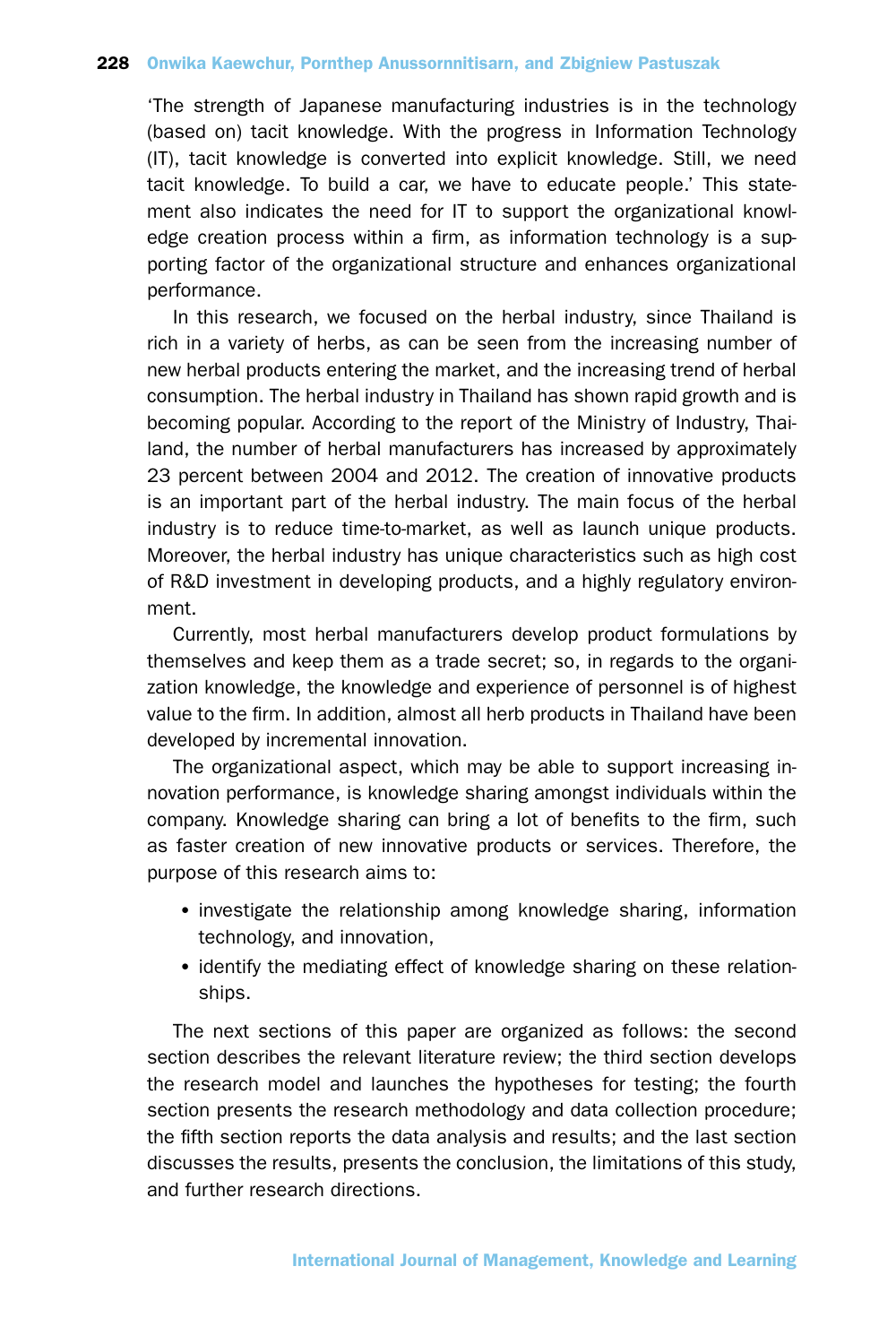'The strength of Japanese manufacturing industries is in the technology (based on) tacit knowledge. With the progress in Information Technology (IT), tacit knowledge is converted into explicit knowledge. Still, we need tacit knowledge. To build a car, we have to educate people.' This statement also indicates the need for IT to support the organizational knowledge creation process within a firm, as information technology is a supporting factor of the organizational structure and enhances organizational performance.

In this research, we focused on the herbal industry, since Thailand is rich in a variety of herbs, as can be seen from the increasing number of new herbal products entering the market, and the increasing trend of herbal consumption. The herbal industry in Thailand has shown rapid growth and is becoming popular. According to the report of the Ministry of Industry, Thailand, the number of herbal manufacturers has increased by approximately 23 percent between 2004 and 2012. The creation of innovative products is an important part of the herbal industry. The main focus of the herbal industry is to reduce time-to-market, as well as launch unique products. Moreover, the herbal industry has unique characteristics such as high cost of R&D investment in developing products, and a highly regulatory environment.

Currently, most herbal manufacturers develop product formulations by themselves and keep them as a trade secret; so, in regards to the organization knowledge, the knowledge and experience of personnel is of highest value to the firm. In addition, almost all herb products in Thailand have been developed by incremental innovation.

The organizational aspect, which may be able to support increasing innovation performance, is knowledge sharing amongst individuals within the company. Knowledge sharing can bring a lot of benefits to the firm, such as faster creation of new innovative products or services. Therefore, the purpose of this research aims to:

- investigate the relationship among knowledge sharing, information technology, and innovation,
- identify the mediating effect of knowledge sharing on these relationships.

The next sections of this paper are organized as follows: the second section describes the relevant literature review; the third section develops the research model and launches the hypotheses for testing; the fourth section presents the research methodology and data collection procedure; the fifth section reports the data analysis and results; and the last section discusses the results, presents the conclusion, the limitations of this study, and further research directions.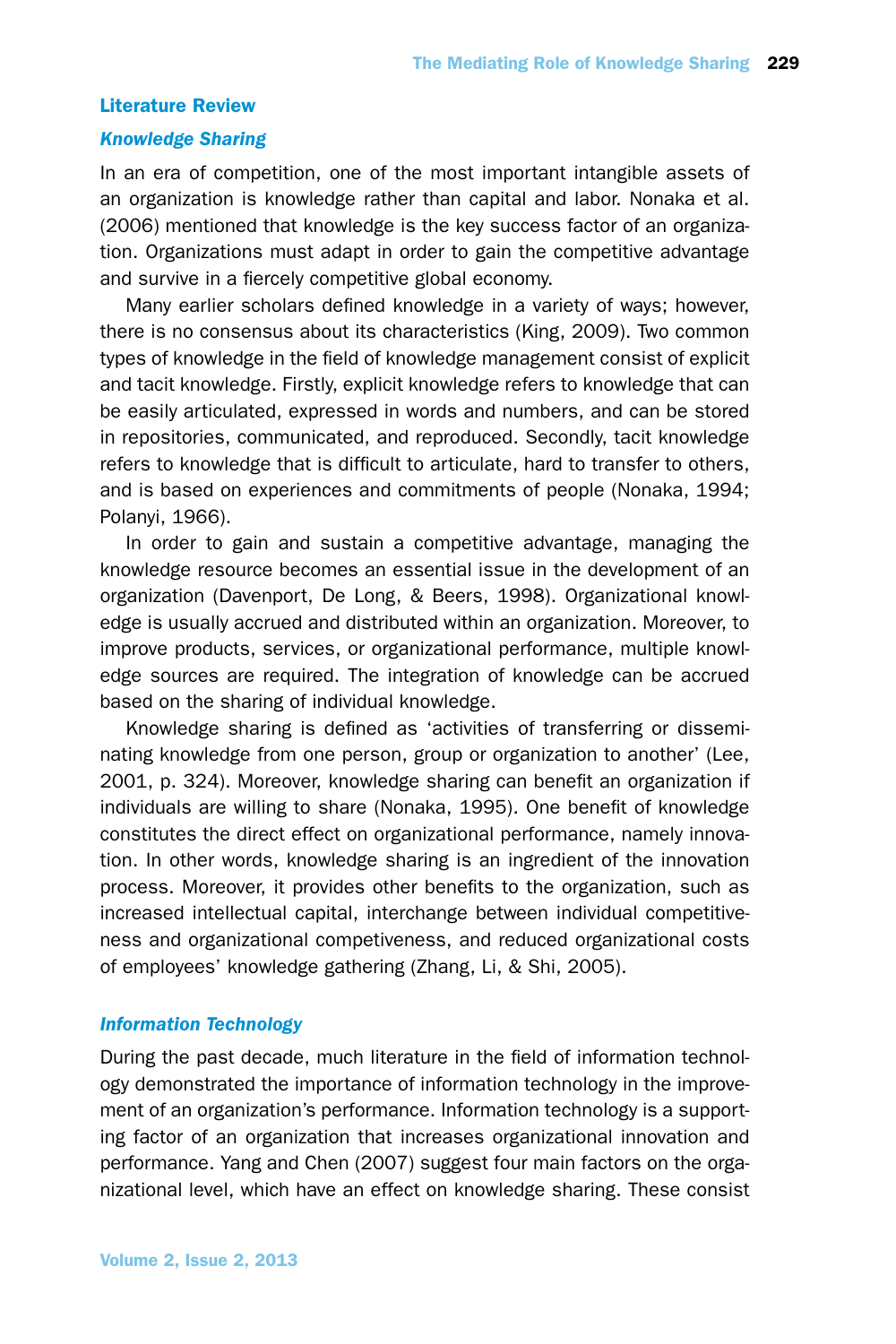# Literature Review

# *Knowledge Sharing*

In an era of competition, one of the most important intangible assets of an organization is knowledge rather than capital and labor. Nonaka et al. (2006) mentioned that knowledge is the key success factor of an organization. Organizations must adapt in order to gain the competitive advantage and survive in a fiercely competitive global economy.

Many earlier scholars defined knowledge in a variety of ways; however, there is no consensus about its characteristics (King, 2009). Two common types of knowledge in the field of knowledge management consist of explicit and tacit knowledge. Firstly, explicit knowledge refers to knowledge that can be easily articulated, expressed in words and numbers, and can be stored in repositories, communicated, and reproduced. Secondly, tacit knowledge refers to knowledge that is difficult to articulate, hard to transfer to others, and is based on experiences and commitments of people (Nonaka, 1994; Polanyi, 1966).

In order to gain and sustain a competitive advantage, managing the knowledge resource becomes an essential issue in the development of an organization (Davenport, De Long, & Beers, 1998). Organizational knowledge is usually accrued and distributed within an organization. Moreover, to improve products, services, or organizational performance, multiple knowledge sources are required. The integration of knowledge can be accrued based on the sharing of individual knowledge.

Knowledge sharing is defined as 'activities of transferring or disseminating knowledge from one person, group or organization to another' (Lee, 2001, p. 324). Moreover, knowledge sharing can benefit an organization if individuals are willing to share (Nonaka, 1995). One benefit of knowledge constitutes the direct effect on organizational performance, namely innovation. In other words, knowledge sharing is an ingredient of the innovation process. Moreover, it provides other benefits to the organization, such as increased intellectual capital, interchange between individual competitiveness and organizational competiveness, and reduced organizational costs of employees' knowledge gathering (Zhang, Li, & Shi, 2005).

# *Information Technology*

During the past decade, much literature in the field of information technology demonstrated the importance of information technology in the improvement of an organization's performance. Information technology is a supporting factor of an organization that increases organizational innovation and performance. Yang and Chen (2007) suggest four main factors on the organizational level, which have an effect on knowledge sharing. These consist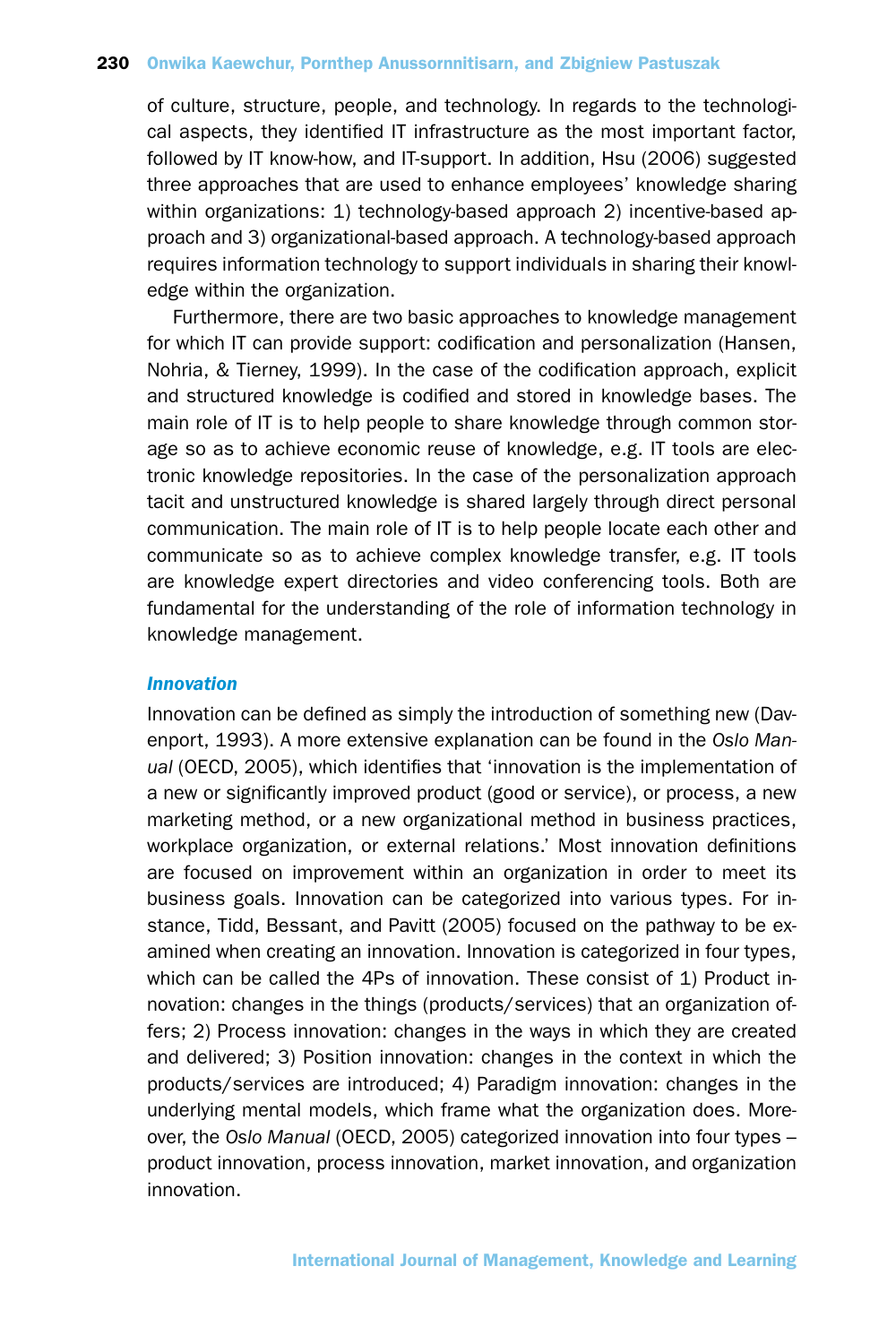of culture, structure, people, and technology. In regards to the technological aspects, they identified IT infrastructure as the most important factor, followed by IT know-how, and IT-support. In addition, Hsu (2006) suggested three approaches that are used to enhance employees' knowledge sharing within organizations: 1) technology-based approach 2) incentive-based approach and 3) organizational-based approach. A technology-based approach requires information technology to support individuals in sharing their knowledge within the organization.

Furthermore, there are two basic approaches to knowledge management for which IT can provide support: codification and personalization (Hansen, Nohria, & Tierney, 1999). In the case of the codification approach, explicit and structured knowledge is codified and stored in knowledge bases. The main role of IT is to help people to share knowledge through common storage so as to achieve economic reuse of knowledge, e.g. IT tools are electronic knowledge repositories. In the case of the personalization approach tacit and unstructured knowledge is shared largely through direct personal communication. The main role of IT is to help people locate each other and communicate so as to achieve complex knowledge transfer, e.g. IT tools are knowledge expert directories and video conferencing tools. Both are fundamental for the understanding of the role of information technology in knowledge management.

### *Innovation*

Innovation can be defined as simply the introduction of something new (Davenport, 1993). A more extensive explanation can be found in the *Oslo Manual* (OECD, 2005), which identifies that 'innovation is the implementation of a new or significantly improved product (good or service), or process, a new marketing method, or a new organizational method in business practices, workplace organization, or external relations.' Most innovation definitions are focused on improvement within an organization in order to meet its business goals. Innovation can be categorized into various types. For instance, Tidd, Bessant, and Pavitt (2005) focused on the pathway to be examined when creating an innovation. Innovation is categorized in four types, which can be called the 4Ps of innovation. These consist of 1) Product innovation: changes in the things (products/services) that an organization offers; 2) Process innovation: changes in the ways in which they are created and delivered; 3) Position innovation: changes in the context in which the products/services are introduced; 4) Paradigm innovation: changes in the underlying mental models, which frame what the organization does. Moreover, the *Oslo Manual* (OECD, 2005) categorized innovation into four types – product innovation, process innovation, market innovation, and organization innovation.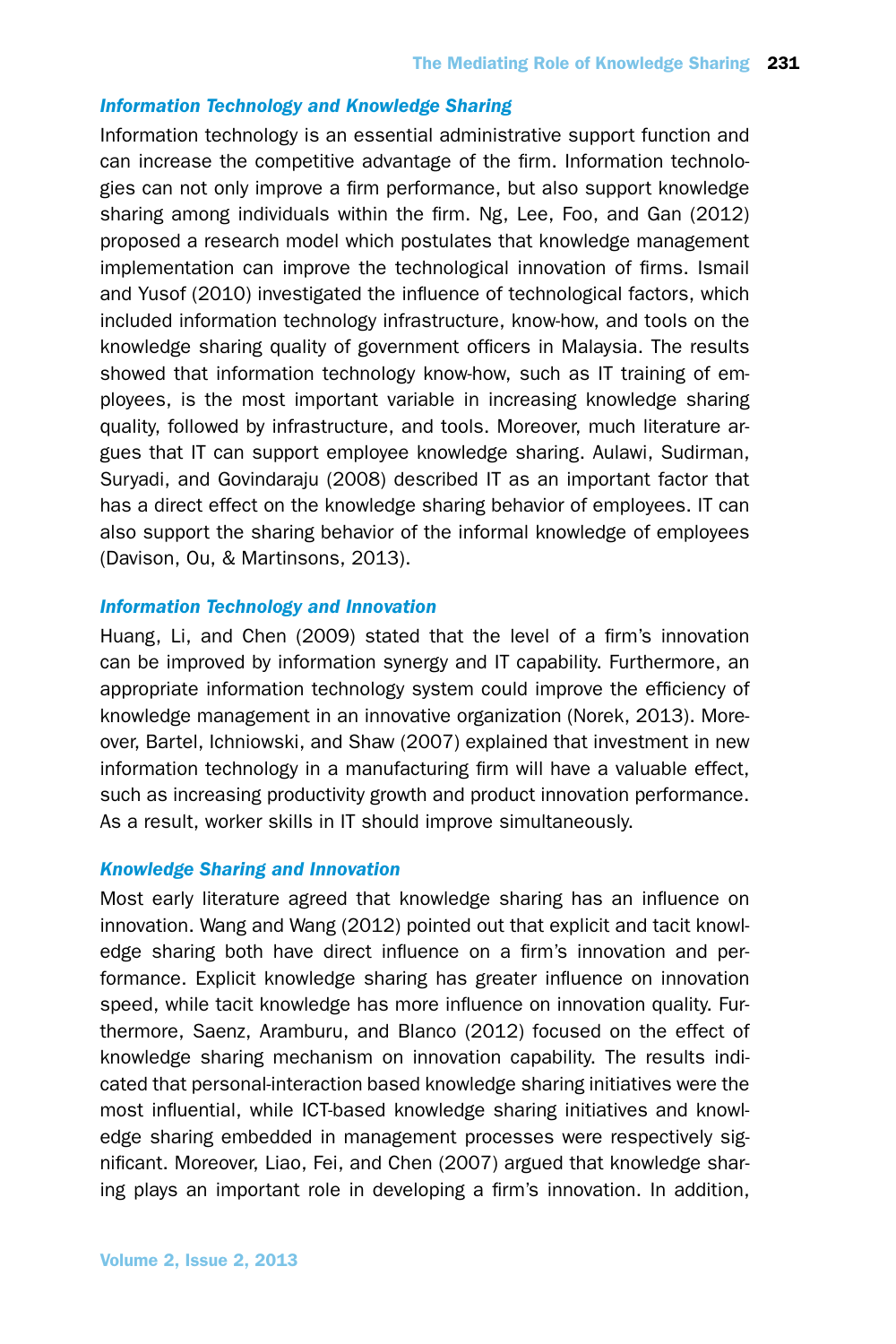# *Information Technology and Knowledge Sharing*

Information technology is an essential administrative support function and can increase the competitive advantage of the firm. Information technologies can not only improve a firm performance, but also support knowledge sharing among individuals within the firm. Ng, Lee, Foo, and Gan (2012) proposed a research model which postulates that knowledge management implementation can improve the technological innovation of firms. Ismail and Yusof (2010) investigated the influence of technological factors, which included information technology infrastructure, know-how, and tools on the knowledge sharing quality of government officers in Malaysia. The results showed that information technology know-how, such as IT training of employees, is the most important variable in increasing knowledge sharing quality, followed by infrastructure, and tools. Moreover, much literature argues that IT can support employee knowledge sharing. Aulawi, Sudirman, Suryadi, and Govindaraju (2008) described IT as an important factor that has a direct effect on the knowledge sharing behavior of employees. IT can also support the sharing behavior of the informal knowledge of employees (Davison, Ou, & Martinsons, 2013).

# *Information Technology and Innovation*

Huang, Li, and Chen (2009) stated that the level of a firm's innovation can be improved by information synergy and IT capability. Furthermore, an appropriate information technology system could improve the efficiency of knowledge management in an innovative organization (Norek, 2013). Moreover, Bartel, Ichniowski, and Shaw (2007) explained that investment in new information technology in a manufacturing firm will have a valuable effect, such as increasing productivity growth and product innovation performance. As a result, worker skills in IT should improve simultaneously.

## *Knowledge Sharing and Innovation*

Most early literature agreed that knowledge sharing has an influence on innovation. Wang and Wang (2012) pointed out that explicit and tacit knowledge sharing both have direct influence on a firm's innovation and performance. Explicit knowledge sharing has greater influence on innovation speed, while tacit knowledge has more influence on innovation quality. Furthermore, Saenz, Aramburu, and Blanco (2012) focused on the effect of knowledge sharing mechanism on innovation capability. The results indicated that personal-interaction based knowledge sharing initiatives were the most influential, while ICT-based knowledge sharing initiatives and knowledge sharing embedded in management processes were respectively significant. Moreover, Liao, Fei, and Chen (2007) argued that knowledge sharing plays an important role in developing a firm's innovation. In addition,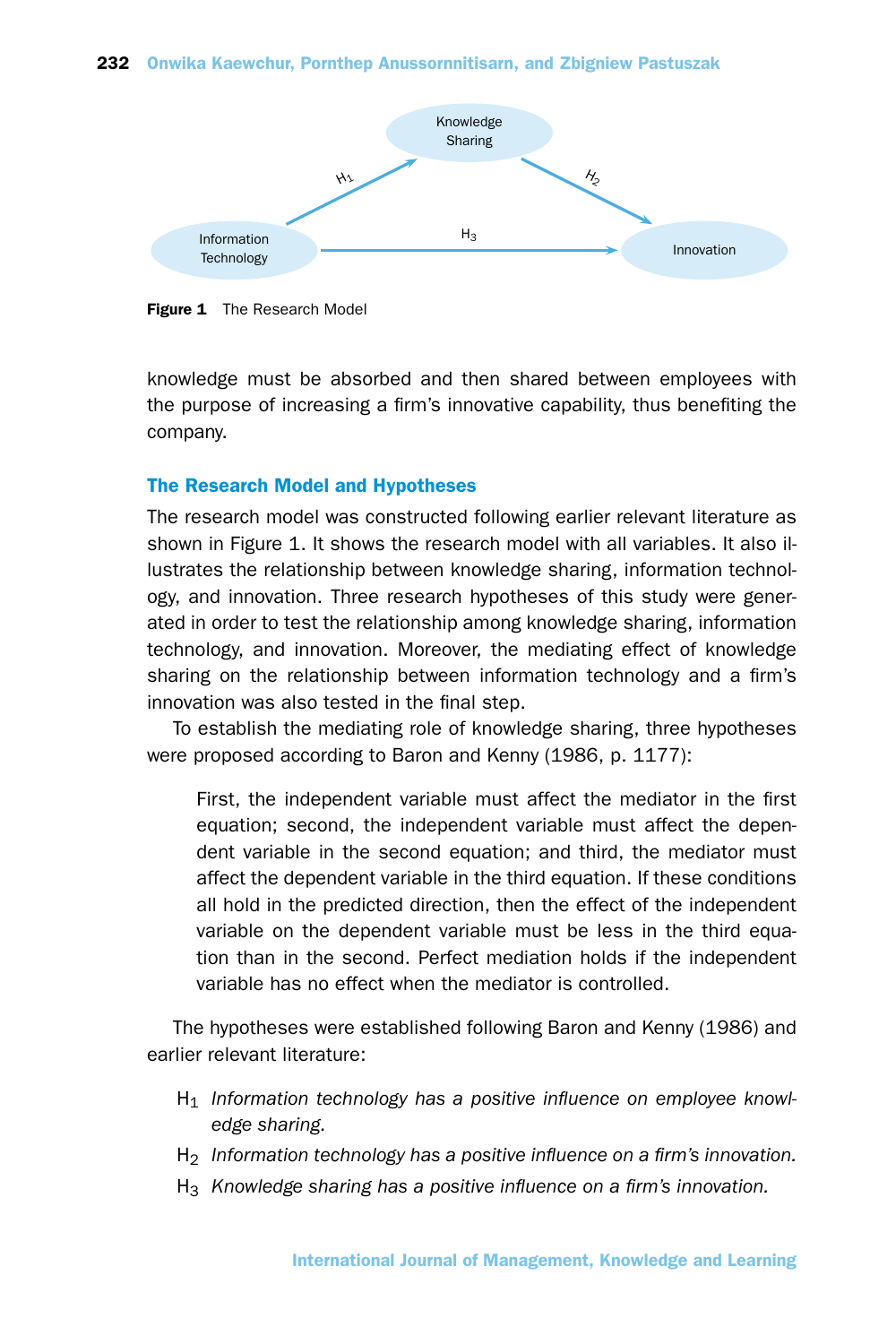

Figure 1 The Research Model

knowledge must be absorbed and then shared between employees with the purpose of increasing a firm's innovative capability, thus benefiting the company.

# The Research Model and Hypotheses

The research model was constructed following earlier relevant literature as shown in Figure 1. It shows the research model with all variables. It also illustrates the relationship between knowledge sharing, information technology, and innovation. Three research hypotheses of this study were generated in order to test the relationship among knowledge sharing, information technology, and innovation. Moreover, the mediating effect of knowledge sharing on the relationship between information technology and a firm's innovation was also tested in the final step.

To establish the mediating role of knowledge sharing, three hypotheses were proposed according to Baron and Kenny (1986, p. 1177):

First, the independent variable must affect the mediator in the first equation; second, the independent variable must affect the dependent variable in the second equation; and third, the mediator must affect the dependent variable in the third equation. If these conditions all hold in the predicted direction, then the effect of the independent variable on the dependent variable must be less in the third equation than in the second. Perfect mediation holds if the independent variable has no effect when the mediator is controlled.

The hypotheses were established following Baron and Kenny (1986) and earlier relevant literature:

- H1 *Information technology has a positive influence on employee knowledge sharing.*
- H2 *Information technology has a positive influence on a firm's innovation.*
- H3 *Knowledge sharing has a positive influence on a firm's innovation.*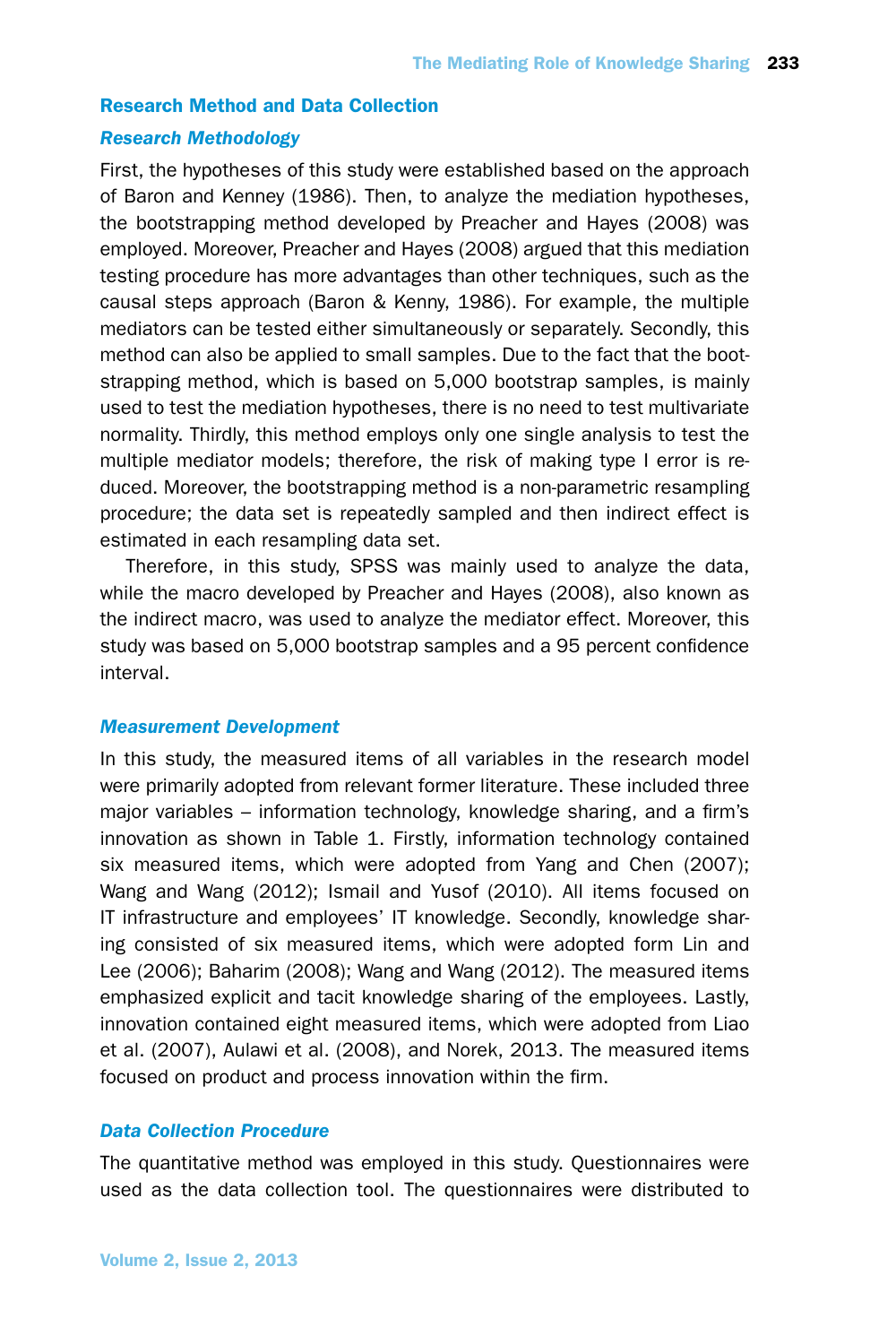## Research Method and Data Collection

#### *Research Methodology*

First, the hypotheses of this study were established based on the approach of Baron and Kenney (1986). Then, to analyze the mediation hypotheses, the bootstrapping method developed by Preacher and Hayes (2008) was employed. Moreover, Preacher and Hayes (2008) argued that this mediation testing procedure has more advantages than other techniques, such as the causal steps approach (Baron & Kenny, 1986). For example, the multiple mediators can be tested either simultaneously or separately. Secondly, this method can also be applied to small samples. Due to the fact that the bootstrapping method, which is based on 5,000 bootstrap samples, is mainly used to test the mediation hypotheses, there is no need to test multivariate normality. Thirdly, this method employs only one single analysis to test the multiple mediator models; therefore, the risk of making type I error is reduced. Moreover, the bootstrapping method is a non-parametric resampling procedure; the data set is repeatedly sampled and then indirect effect is estimated in each resampling data set.

Therefore, in this study, SPSS was mainly used to analyze the data, while the macro developed by Preacher and Hayes (2008), also known as the indirect macro, was used to analyze the mediator effect. Moreover, this study was based on 5,000 bootstrap samples and a 95 percent confidence interval.

## *Measurement Development*

In this study, the measured items of all variables in the research model were primarily adopted from relevant former literature. These included three major variables – information technology, knowledge sharing, and a firm's innovation as shown in Table 1. Firstly, information technology contained six measured items, which were adopted from Yang and Chen (2007); Wang and Wang (2012); Ismail and Yusof (2010). All items focused on IT infrastructure and employees' IT knowledge. Secondly, knowledge sharing consisted of six measured items, which were adopted form Lin and Lee (2006); Baharim (2008); Wang and Wang (2012). The measured items emphasized explicit and tacit knowledge sharing of the employees. Lastly, innovation contained eight measured items, which were adopted from Liao et al. (2007), Aulawi et al. (2008), and Norek, 2013. The measured items focused on product and process innovation within the firm.

# *Data Collection Procedure*

The quantitative method was employed in this study. Questionnaires were used as the data collection tool. The questionnaires were distributed to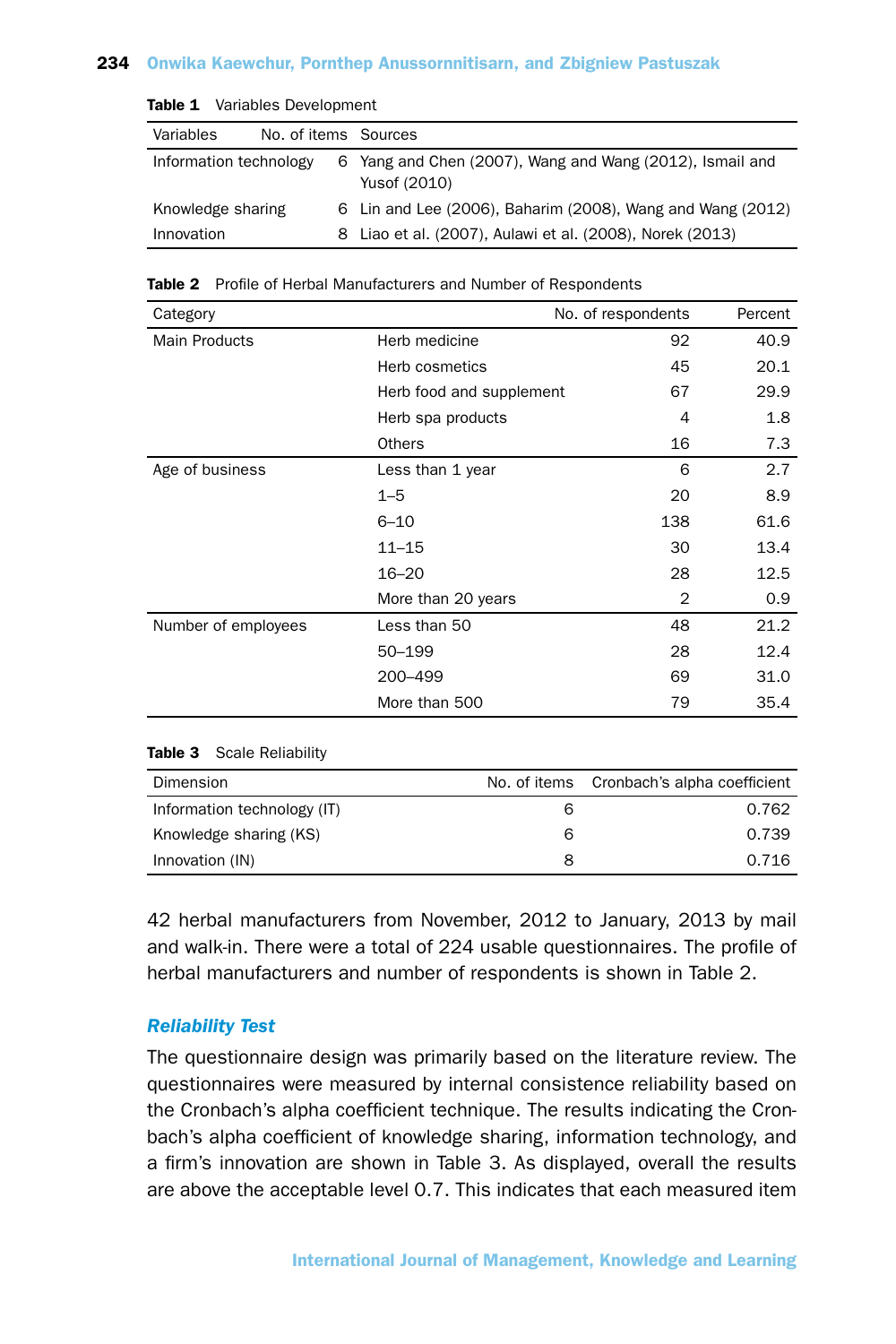| <b>Rabic 1</b> variables Development |                      |  |                                                                          |
|--------------------------------------|----------------------|--|--------------------------------------------------------------------------|
| Variables                            | No. of items Sources |  |                                                                          |
| Information technology               |                      |  | 6 Yang and Chen (2007), Wang and Wang (2012), Ismail and<br>Yusof (2010) |
| Knowledge sharing                    |                      |  | 6 Lin and Lee (2006), Baharim (2008), Wang and Wang (2012)               |
| Innovation                           |                      |  | 8 Liao et al. (2007), Aulawi et al. (2008), Norek (2013)                 |

# Table 1 Variables Development

#### Table 2 Profile of Herbal Manufacturers and Number of Respondents

| Category             |                          | No. of respondents | Percent |
|----------------------|--------------------------|--------------------|---------|
| <b>Main Products</b> | Herb medicine            | 92                 | 40.9    |
|                      | Herb cosmetics           | 45                 | 20.1    |
|                      | Herb food and supplement | 67                 | 29.9    |
|                      | Herb spa products        | 4                  | 1.8     |
|                      | <b>Others</b>            | 16                 | 7.3     |
| Age of business      | Less than 1 year         | 6                  | 2.7     |
|                      | $1 - 5$                  | 20                 | 8.9     |
|                      | $6 - 10$                 | 138                | 61.6    |
|                      | $11 - 15$                | 30                 | 13.4    |
|                      | $16 - 20$                | 28                 | 12.5    |
|                      | More than 20 years       | $\overline{2}$     | 0.9     |
| Number of employees  | Less than 50             | 48                 | 21.2    |
|                      | 50-199                   | 28                 | 12.4    |
|                      | 200-499                  | 69                 | 31.0    |
|                      | More than 500            | 79                 | 35.4    |
|                      |                          |                    |         |

#### Table 3 Scale Reliability

| Dimension                   |   | No. of items Cronbach's alpha coefficient |
|-----------------------------|---|-------------------------------------------|
| Information technology (IT) | 6 | 0.762                                     |
| Knowledge sharing (KS)      | 6 | 0.739                                     |
| Innovation (IN)             | 8 | 0.716                                     |

42 herbal manufacturers from November, 2012 to January, 2013 by mail and walk-in. There were a total of 224 usable questionnaires. The profile of herbal manufacturers and number of respondents is shown in Table 2.

# *Reliability Test*

The questionnaire design was primarily based on the literature review. The questionnaires were measured by internal consistence reliability based on the Cronbach's alpha coefficient technique. The results indicating the Cronbach's alpha coefficient of knowledge sharing, information technology, and a firm's innovation are shown in Table 3. As displayed, overall the results are above the acceptable level 0.7. This indicates that each measured item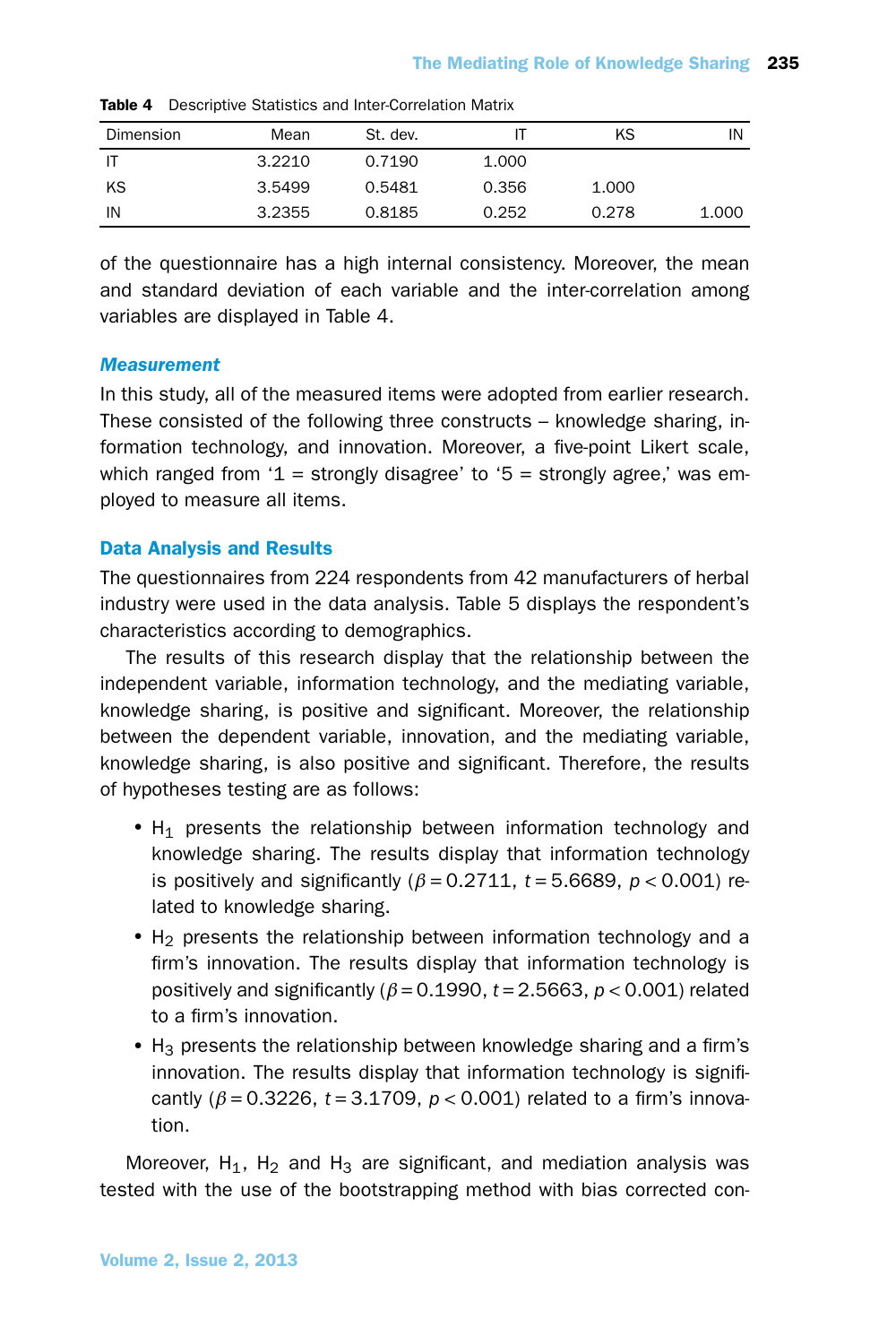| Dimension | Mean   | St. dev. |       | ΚS    | IN    |
|-----------|--------|----------|-------|-------|-------|
| ΙT        | 3.2210 | 0.7190   | 1.000 |       |       |
| KS        | 3.5499 | 0.5481   | 0.356 | 1.000 |       |
| IN        | 3.2355 | 0.8185   | 0.252 | 0.278 | 1.000 |

Table 4 Descriptive Statistics and Inter-Correlation Matrix

of the questionnaire has a high internal consistency. Moreover, the mean and standard deviation of each variable and the inter-correlation among variables are displayed in Table 4.

#### *Measurement*

In this study, all of the measured items were adopted from earlier research. These consisted of the following three constructs – knowledge sharing, information technology, and innovation. Moreover, a five-point Likert scale, which ranged from '1 = strongly disagree' to '5 = strongly agree,' was employed to measure all items.

#### Data Analysis and Results

The questionnaires from 224 respondents from 42 manufacturers of herbal industry were used in the data analysis. Table 5 displays the respondent's characteristics according to demographics.

The results of this research display that the relationship between the independent variable, information technology, and the mediating variable, knowledge sharing, is positive and significant. Moreover, the relationship between the dependent variable, innovation, and the mediating variable, knowledge sharing, is also positive and significant. Therefore, the results of hypotheses testing are as follows:

- $\bullet$  H<sub>1</sub> presents the relationship between information technology and knowledge sharing. The results display that information technology is positively and significantly  $(\beta = 0.2711, t = 5.6689, p < 0.001)$  related to knowledge sharing.
- $H<sub>2</sub>$  presents the relationship between information technology and a firm's innovation. The results display that information technology is positively and significantly (*β* = 0.1990, *t* = 2.5663, *p* < 0.001) related to a firm's innovation.
- $H_3$  presents the relationship between knowledge sharing and a firm's innovation. The results display that information technology is significantly (*β* = 0.3226, *t* = 3.1709, *p* < 0.001) related to a firm's innovation.

Moreover,  $H_1$ ,  $H_2$  and  $H_3$  are significant, and mediation analysis was tested with the use of the bootstrapping method with bias corrected con-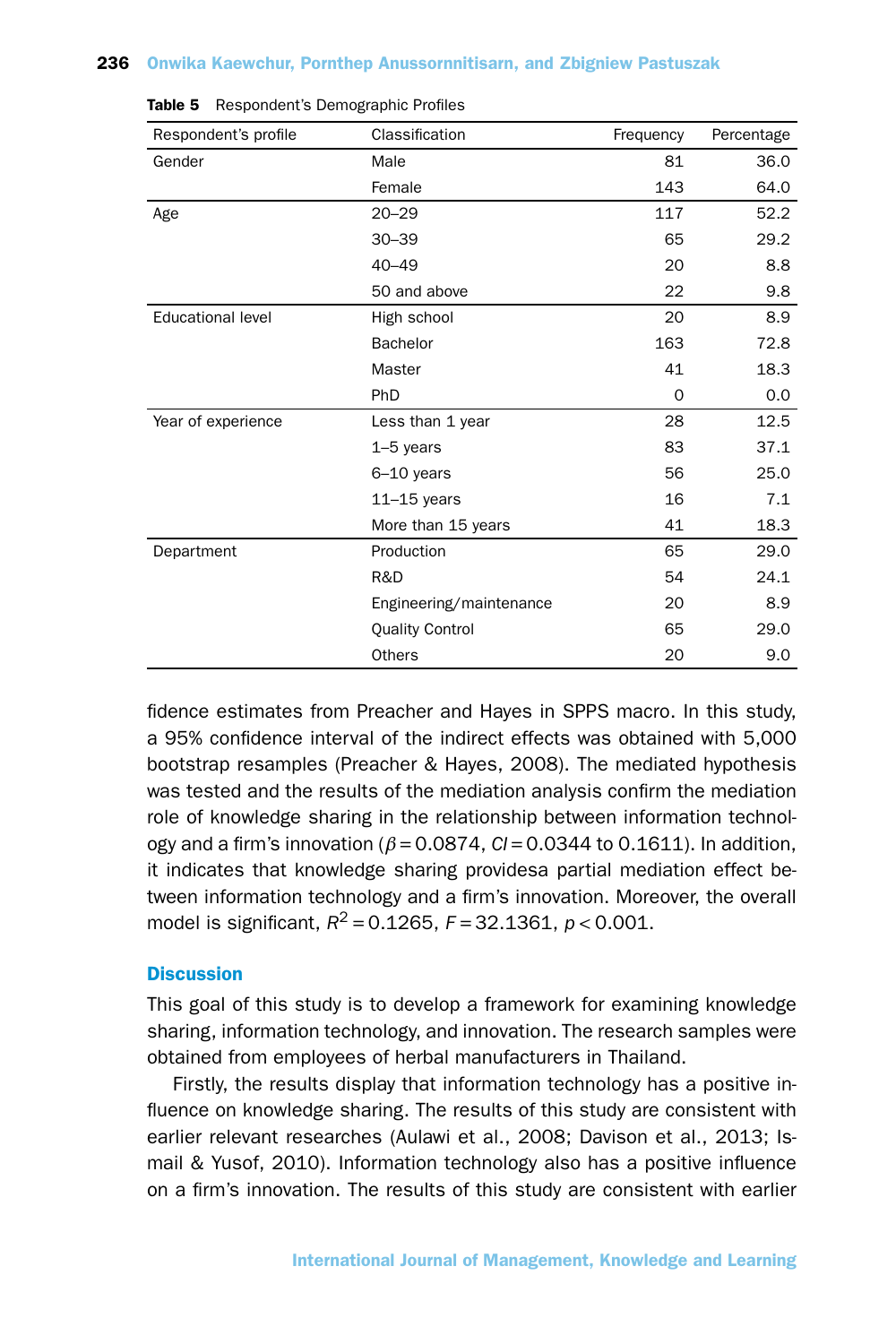| Respondent's profile     | Classification          | Frequency | Percentage |
|--------------------------|-------------------------|-----------|------------|
| Gender                   | Male                    | 81        | 36.0       |
|                          | Female                  | 143       | 64.0       |
| Age                      | $20 - 29$               | 117       | 52.2       |
|                          | $30 - 39$               | 65        | 29.2       |
|                          | $40 - 49$               | 20        | 8.8        |
|                          | 50 and above            | 22        | 9.8        |
| <b>Educational level</b> | High school             | 20        | 8.9        |
|                          | <b>Bachelor</b>         | 163       | 72.8       |
|                          | Master                  | 41        | 18.3       |
|                          | PhD                     | 0         | 0.0        |
| Year of experience       | Less than 1 year        | 28        | 12.5       |
|                          | $1-5$ years             | 83        | 37.1       |
|                          | $6-10$ years            | 56        | 25.0       |
|                          | $11 - 15$ years         | 16        | 7.1        |
|                          | More than 15 years      | 41        | 18.3       |
| Department               | Production              | 65        | 29.0       |
|                          | R&D                     | 54        | 24.1       |
|                          | Engineering/maintenance | 20        | 8.9        |
|                          | <b>Quality Control</b>  | 65        | 29.0       |
|                          | Others                  | 20        | 9.0        |

Table 5 Respondent's Demographic Profiles

fidence estimates from Preacher and Hayes in SPPS macro. In this study, a 95% confidence interval of the indirect effects was obtained with 5,000 bootstrap resamples (Preacher & Hayes, 2008). The mediated hypothesis was tested and the results of the mediation analysis confirm the mediation role of knowledge sharing in the relationship between information technology and a firm's innovation (*β* = 0.0874, *CI* = 0.0344 to 0.1611). In addition, it indicates that knowledge sharing providesa partial mediation effect between information technology and a firm's innovation. Moreover, the overall model is significant,  $R^2 = 0.1265$ ,  $F = 32.1361$ ,  $p < 0.001$ .

#### **Discussion**

This goal of this study is to develop a framework for examining knowledge sharing, information technology, and innovation. The research samples were obtained from employees of herbal manufacturers in Thailand.

Firstly, the results display that information technology has a positive influence on knowledge sharing. The results of this study are consistent with earlier relevant researches (Aulawi et al., 2008; Davison et al., 2013; Ismail & Yusof, 2010). Information technology also has a positive influence on a firm's innovation. The results of this study are consistent with earlier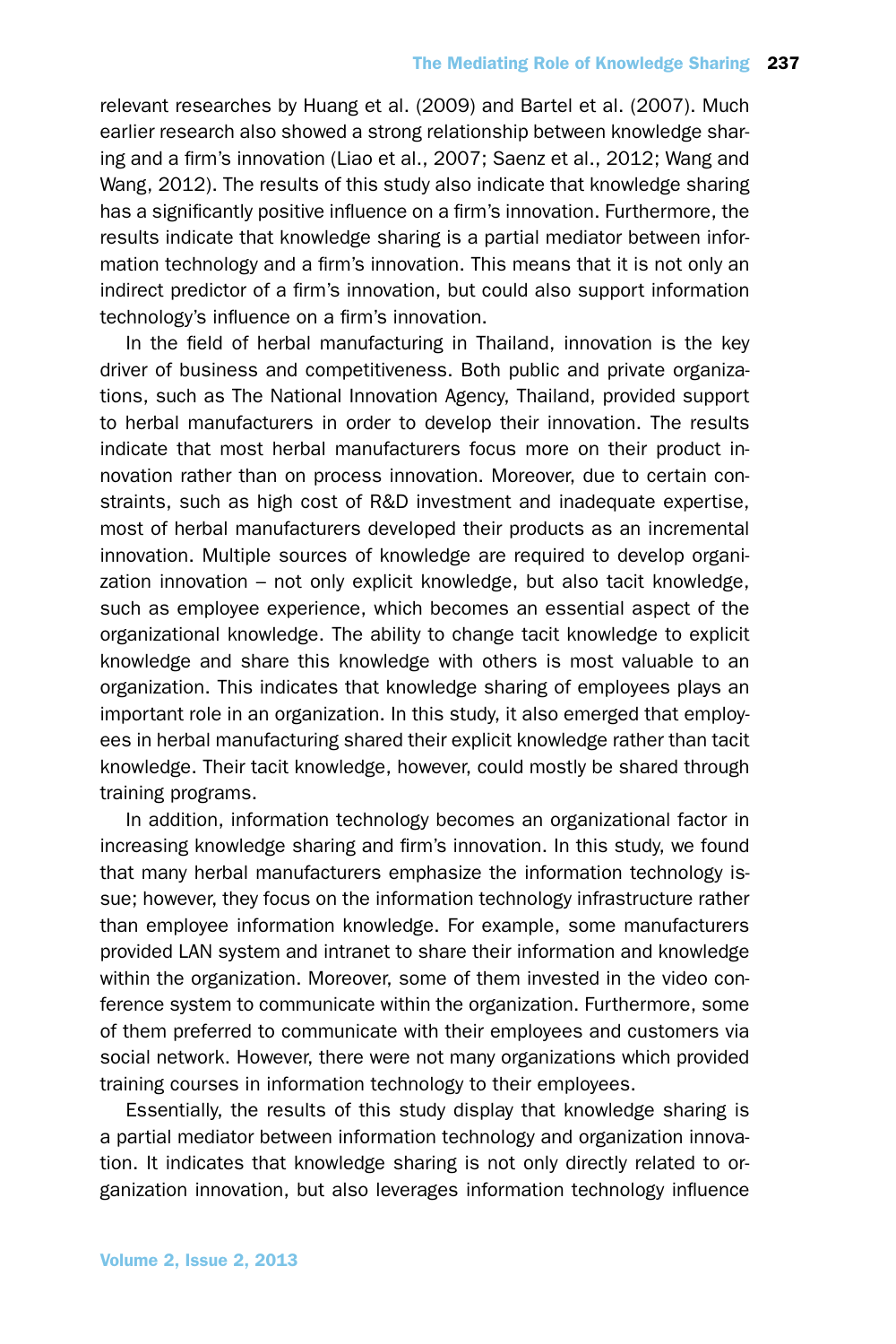relevant researches by Huang et al. (2009) and Bartel et al. (2007). Much earlier research also showed a strong relationship between knowledge sharing and a firm's innovation (Liao et al., 2007; Saenz et al., 2012; Wang and Wang, 2012). The results of this study also indicate that knowledge sharing has a significantly positive influence on a firm's innovation. Furthermore, the results indicate that knowledge sharing is a partial mediator between information technology and a firm's innovation. This means that it is not only an indirect predictor of a firm's innovation, but could also support information technology's influence on a firm's innovation.

In the field of herbal manufacturing in Thailand, innovation is the key driver of business and competitiveness. Both public and private organizations, such as The National Innovation Agency, Thailand, provided support to herbal manufacturers in order to develop their innovation. The results indicate that most herbal manufacturers focus more on their product innovation rather than on process innovation. Moreover, due to certain constraints, such as high cost of R&D investment and inadequate expertise, most of herbal manufacturers developed their products as an incremental innovation. Multiple sources of knowledge are required to develop organization innovation – not only explicit knowledge, but also tacit knowledge, such as employee experience, which becomes an essential aspect of the organizational knowledge. The ability to change tacit knowledge to explicit knowledge and share this knowledge with others is most valuable to an organization. This indicates that knowledge sharing of employees plays an important role in an organization. In this study, it also emerged that employees in herbal manufacturing shared their explicit knowledge rather than tacit knowledge. Their tacit knowledge, however, could mostly be shared through training programs.

In addition, information technology becomes an organizational factor in increasing knowledge sharing and firm's innovation. In this study, we found that many herbal manufacturers emphasize the information technology issue; however, they focus on the information technology infrastructure rather than employee information knowledge. For example, some manufacturers provided LAN system and intranet to share their information and knowledge within the organization. Moreover, some of them invested in the video conference system to communicate within the organization. Furthermore, some of them preferred to communicate with their employees and customers via social network. However, there were not many organizations which provided training courses in information technology to their employees.

Essentially, the results of this study display that knowledge sharing is a partial mediator between information technology and organization innovation. It indicates that knowledge sharing is not only directly related to organization innovation, but also leverages information technology influence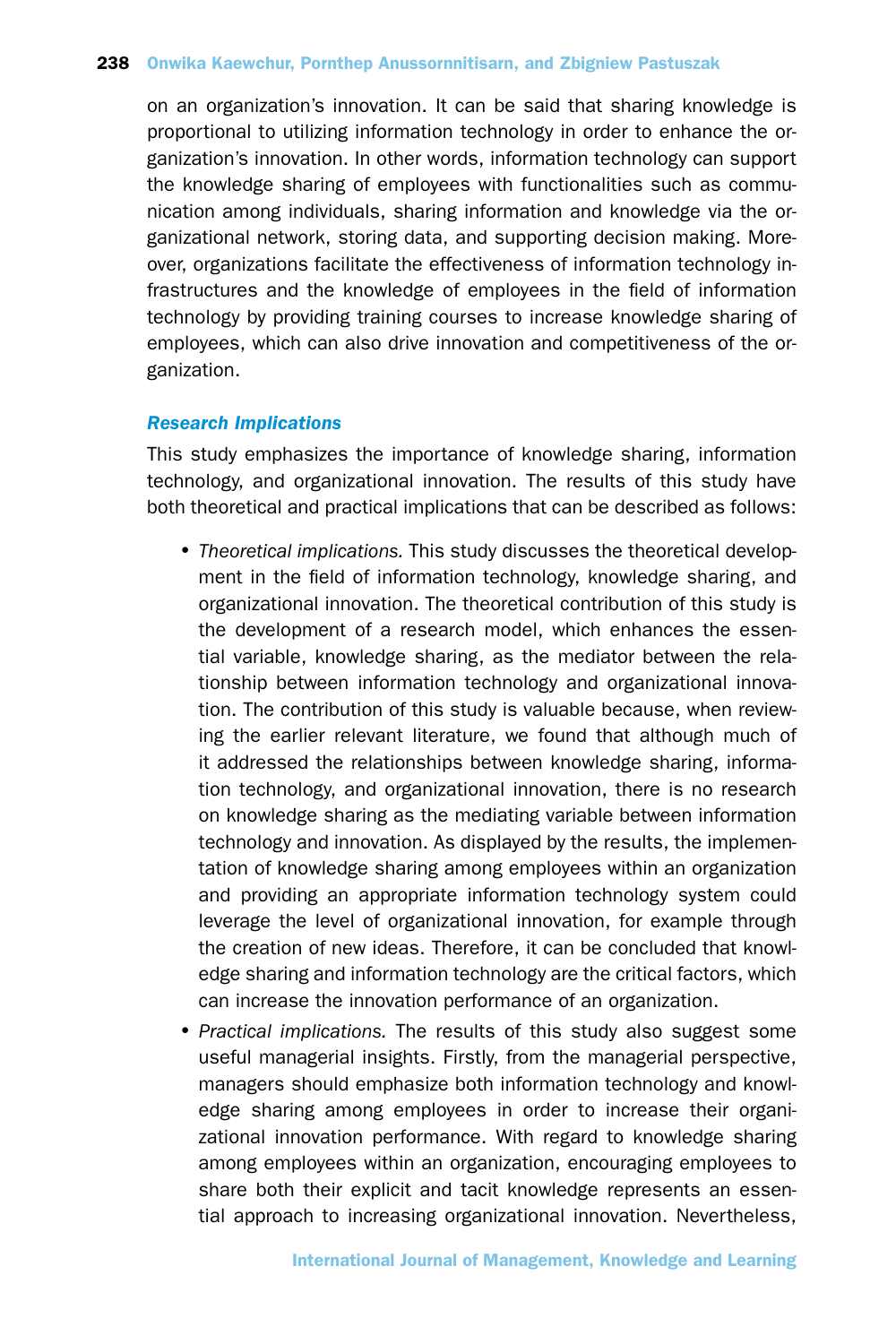on an organization's innovation. It can be said that sharing knowledge is proportional to utilizing information technology in order to enhance the organization's innovation. In other words, information technology can support the knowledge sharing of employees with functionalities such as communication among individuals, sharing information and knowledge via the organizational network, storing data, and supporting decision making. Moreover, organizations facilitate the effectiveness of information technology infrastructures and the knowledge of employees in the field of information technology by providing training courses to increase knowledge sharing of employees, which can also drive innovation and competitiveness of the organization.

## *Research Implications*

This study emphasizes the importance of knowledge sharing, information technology, and organizational innovation. The results of this study have both theoretical and practical implications that can be described as follows:

- •*Theoretical implications.* This study discusses the theoretical development in the field of information technology, knowledge sharing, and organizational innovation. The theoretical contribution of this study is the development of a research model, which enhances the essential variable, knowledge sharing, as the mediator between the relationship between information technology and organizational innovation. The contribution of this study is valuable because, when reviewing the earlier relevant literature, we found that although much of it addressed the relationships between knowledge sharing, information technology, and organizational innovation, there is no research on knowledge sharing as the mediating variable between information technology and innovation. As displayed by the results, the implementation of knowledge sharing among employees within an organization and providing an appropriate information technology system could leverage the level of organizational innovation, for example through the creation of new ideas. Therefore, it can be concluded that knowledge sharing and information technology are the critical factors, which can increase the innovation performance of an organization.
- •*Practical implications.* The results of this study also suggest some useful managerial insights. Firstly, from the managerial perspective, managers should emphasize both information technology and knowledge sharing among employees in order to increase their organizational innovation performance. With regard to knowledge sharing among employees within an organization, encouraging employees to share both their explicit and tacit knowledge represents an essential approach to increasing organizational innovation. Nevertheless,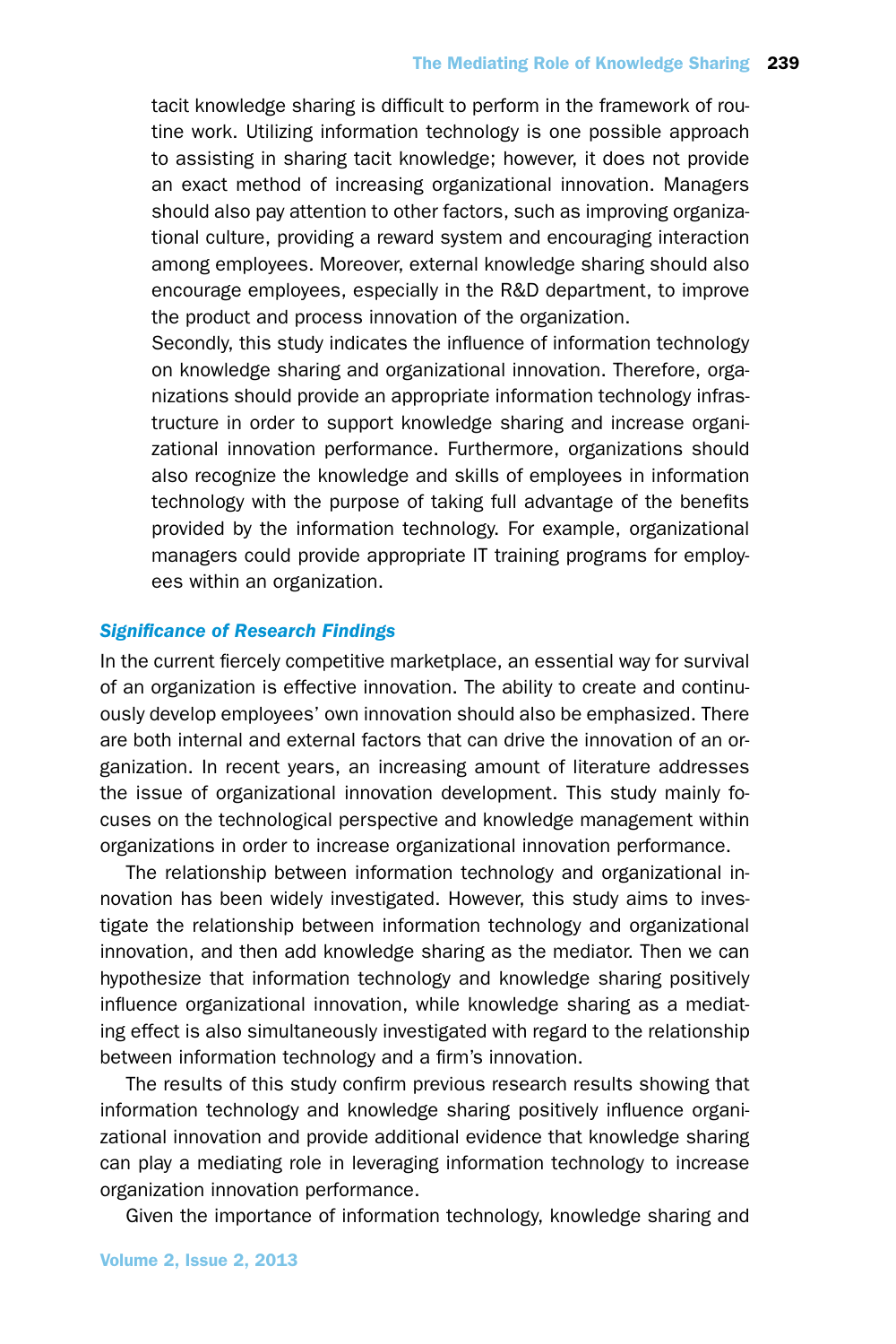tacit knowledge sharing is difficult to perform in the framework of routine work. Utilizing information technology is one possible approach to assisting in sharing tacit knowledge; however, it does not provide an exact method of increasing organizational innovation. Managers should also pay attention to other factors, such as improving organizational culture, providing a reward system and encouraging interaction among employees. Moreover, external knowledge sharing should also encourage employees, especially in the R&D department, to improve the product and process innovation of the organization.

Secondly, this study indicates the influence of information technology on knowledge sharing and organizational innovation. Therefore, organizations should provide an appropriate information technology infrastructure in order to support knowledge sharing and increase organizational innovation performance. Furthermore, organizations should also recognize the knowledge and skills of employees in information technology with the purpose of taking full advantage of the benefits provided by the information technology. For example, organizational managers could provide appropriate IT training programs for employees within an organization.

## *Significance of Research Findings*

In the current fiercely competitive marketplace, an essential way for survival of an organization is effective innovation. The ability to create and continuously develop employees' own innovation should also be emphasized. There are both internal and external factors that can drive the innovation of an organization. In recent years, an increasing amount of literature addresses the issue of organizational innovation development. This study mainly focuses on the technological perspective and knowledge management within organizations in order to increase organizational innovation performance.

The relationship between information technology and organizational innovation has been widely investigated. However, this study aims to investigate the relationship between information technology and organizational innovation, and then add knowledge sharing as the mediator. Then we can hypothesize that information technology and knowledge sharing positively influence organizational innovation, while knowledge sharing as a mediating effect is also simultaneously investigated with regard to the relationship between information technology and a firm's innovation.

The results of this study confirm previous research results showing that information technology and knowledge sharing positively influence organizational innovation and provide additional evidence that knowledge sharing can play a mediating role in leveraging information technology to increase organization innovation performance.

Given the importance of information technology, knowledge sharing and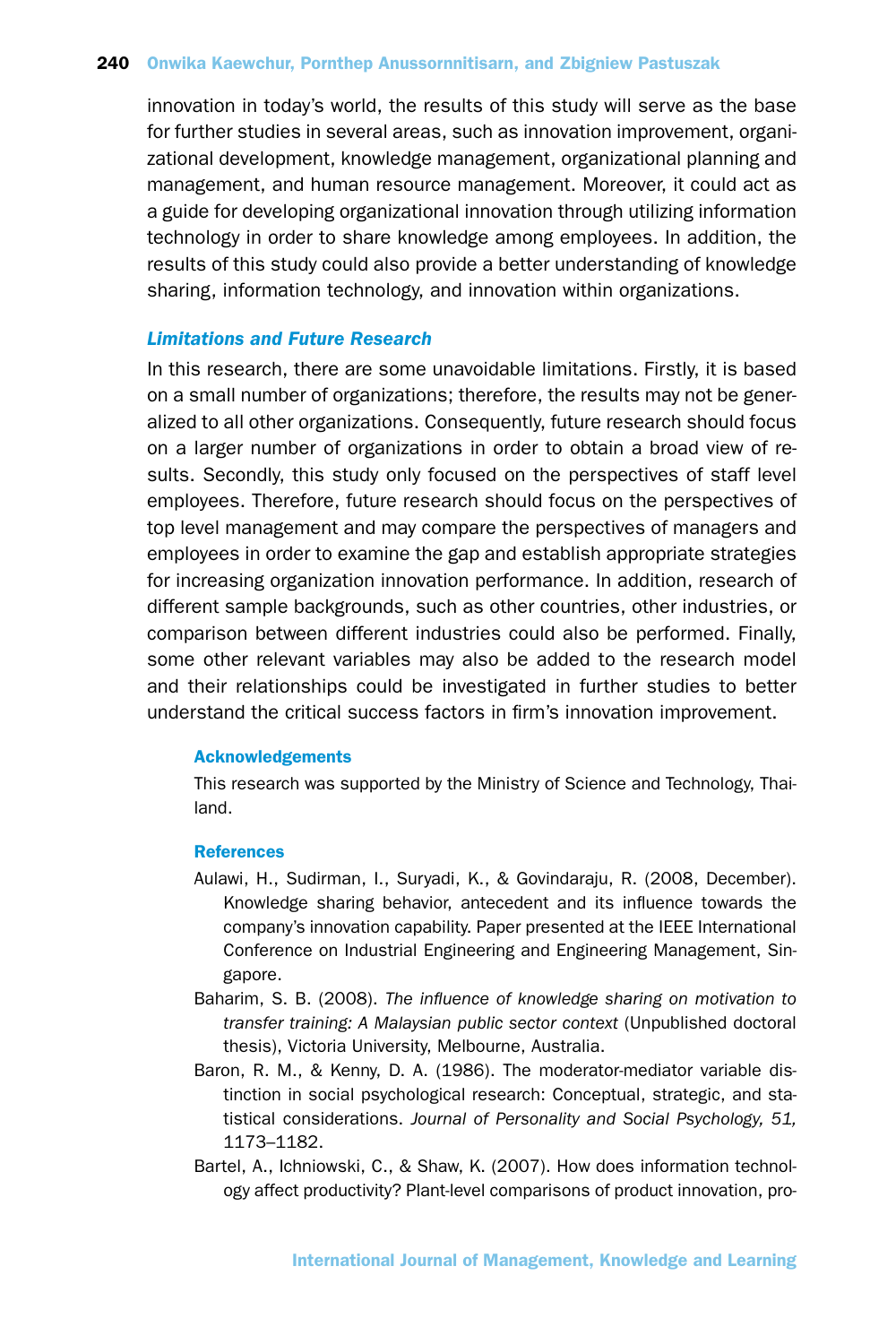innovation in today's world, the results of this study will serve as the base for further studies in several areas, such as innovation improvement, organizational development, knowledge management, organizational planning and management, and human resource management. Moreover, it could act as a guide for developing organizational innovation through utilizing information technology in order to share knowledge among employees. In addition, the results of this study could also provide a better understanding of knowledge sharing, information technology, and innovation within organizations.

# *Limitations and Future Research*

In this research, there are some unavoidable limitations. Firstly, it is based on a small number of organizations; therefore, the results may not be generalized to all other organizations. Consequently, future research should focus on a larger number of organizations in order to obtain a broad view of results. Secondly, this study only focused on the perspectives of staff level employees. Therefore, future research should focus on the perspectives of top level management and may compare the perspectives of managers and employees in order to examine the gap and establish appropriate strategies for increasing organization innovation performance. In addition, research of different sample backgrounds, such as other countries, other industries, or comparison between different industries could also be performed. Finally, some other relevant variables may also be added to the research model and their relationships could be investigated in further studies to better understand the critical success factors in firm's innovation improvement.

## Acknowledgements

This research was supported by the Ministry of Science and Technology, Thailand.

### **References**

- Aulawi, H., Sudirman, I., Suryadi, K., & Govindaraju, R. (2008, December). Knowledge sharing behavior, antecedent and its influence towards the company's innovation capability. Paper presented at the IEEE International Conference on Industrial Engineering and Engineering Management, Singapore.
- Baharim, S. B. (2008). *The influence of knowledge sharing on motivation to transfer training: A Malaysian public sector context* (Unpublished doctoral thesis), Victoria University, Melbourne, Australia.
- Baron, R. M., & Kenny, D. A. (1986). The moderator-mediator variable distinction in social psychological research: Conceptual, strategic, and statistical considerations. *Journal of Personality and Social Psychology, 51,* 1173–1182.
- Bartel, A., Ichniowski, C., & Shaw, K. (2007). How does information technology affect productivity? Plant-level comparisons of product innovation, pro-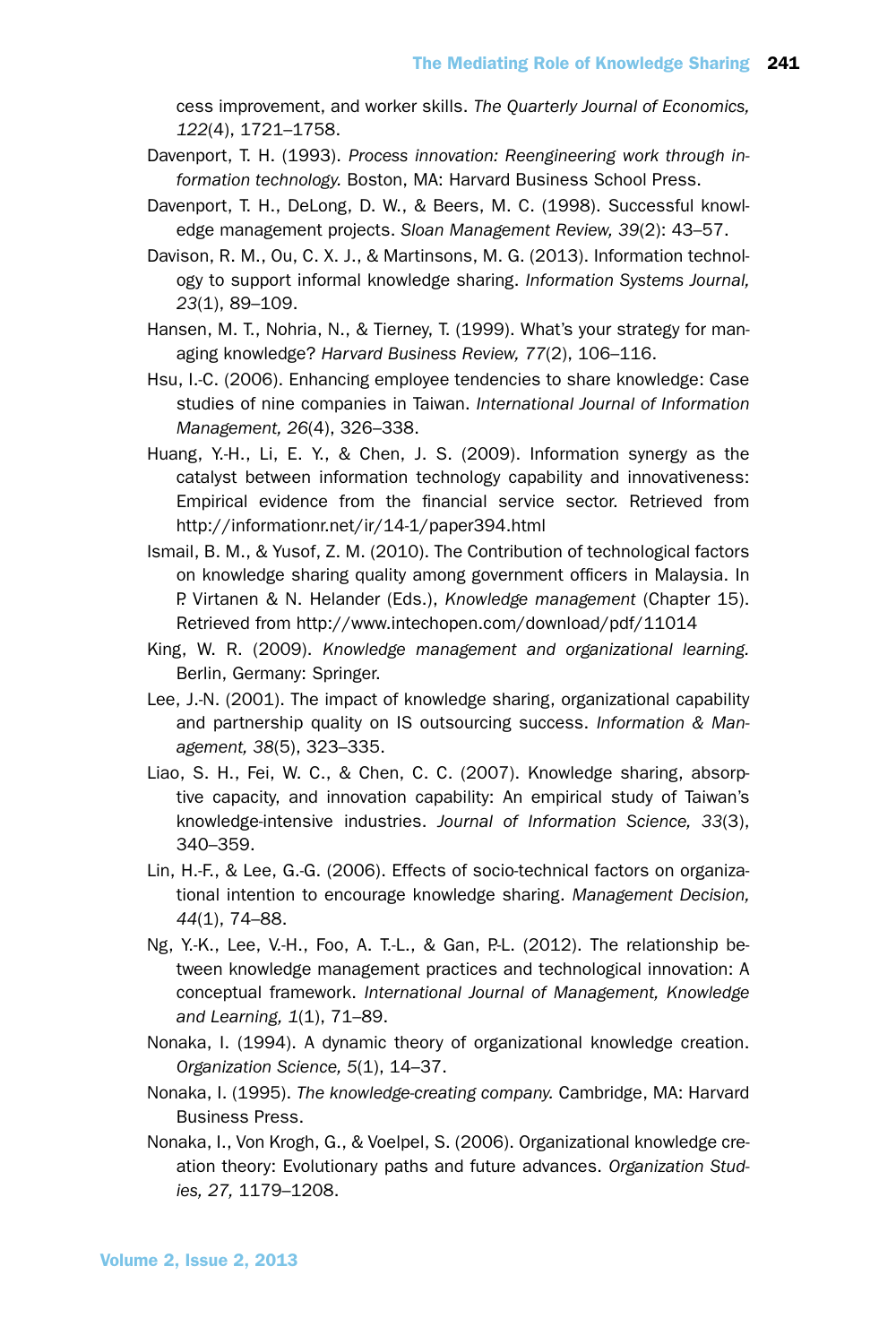cess improvement, and worker skills. *The Quarterly Journal of Economics, 122*(4), 1721–1758.

- Davenport, T. H. (1993). *Process innovation: Reengineering work through information technology.* Boston, MA: Harvard Business School Press.
- Davenport, T. H., DeLong, D. W., & Beers, M. C. (1998). Successful knowledge management projects. *Sloan Management Review, 39*(2): 43–57.
- Davison, R. M., Ou, C. X. J., & Martinsons, M. G. (2013). Information technology to support informal knowledge sharing. *Information Systems Journal, 23*(1), 89–109.
- Hansen, M. T., Nohria, N., & Tierney, T. (1999). What's your strategy for managing knowledge? *Harvard Business Review, 77*(2), 106–116.
- Hsu, I.-C. (2006). Enhancing employee tendencies to share knowledge: Case studies of nine companies in Taiwan. *International Journal of Information Management, 26*(4), 326–338.
- Huang, Y.-H., Li, E. Y., & Chen, J. S. (2009). Information synergy as the catalyst between information technology capability and innovativeness: Empirical evidence from the financial service sector. Retrieved from http://informationr.net/ir/14-1/paper394.html
- Ismail, B. M., & Yusof, Z. M. (2010). The Contribution of technological factors on knowledge sharing quality among government officers in Malaysia. In P. Virtanen & N. Helander (Eds.), *Knowledge management* (Chapter 15). Retrieved from http://www.intechopen.com/download/pdf/11014
- King, W. R. (2009). *Knowledge management and organizational learning.* Berlin, Germany: Springer.
- Lee, J.-N. (2001). The impact of knowledge sharing, organizational capability and partnership quality on IS outsourcing success. *Information & Management, 38*(5), 323–335.
- Liao, S. H., Fei, W. C., & Chen, C. C. (2007). Knowledge sharing, absorptive capacity, and innovation capability: An empirical study of Taiwan's knowledge-intensive industries. *Journal of Information Science, 33*(3), 340–359.
- Lin, H.-F., & Lee, G.-G. (2006). Effects of socio-technical factors on organizational intention to encourage knowledge sharing. *Management Decision, 44*(1), 74–88.
- $Ng$ , Y.-K., Lee, V.-H., Foo, A. T.-L., & Gan, P.-L. (2012). The relationship between knowledge management practices and technological innovation: A conceptual framework. *International Journal of Management, Knowledge and Learning, 1*(1), 71–89.
- Nonaka, I. (1994). A dynamic theory of organizational knowledge creation. *Organization Science, 5*(1), 14–37.
- Nonaka, I. (1995). *The knowledge-creating company.* Cambridge, MA: Harvard Business Press.
- Nonaka, I., Von Krogh, G., & Voelpel, S. (2006). Organizational knowledge creation theory: Evolutionary paths and future advances. *Organization Studies, 27,* 1179–1208.